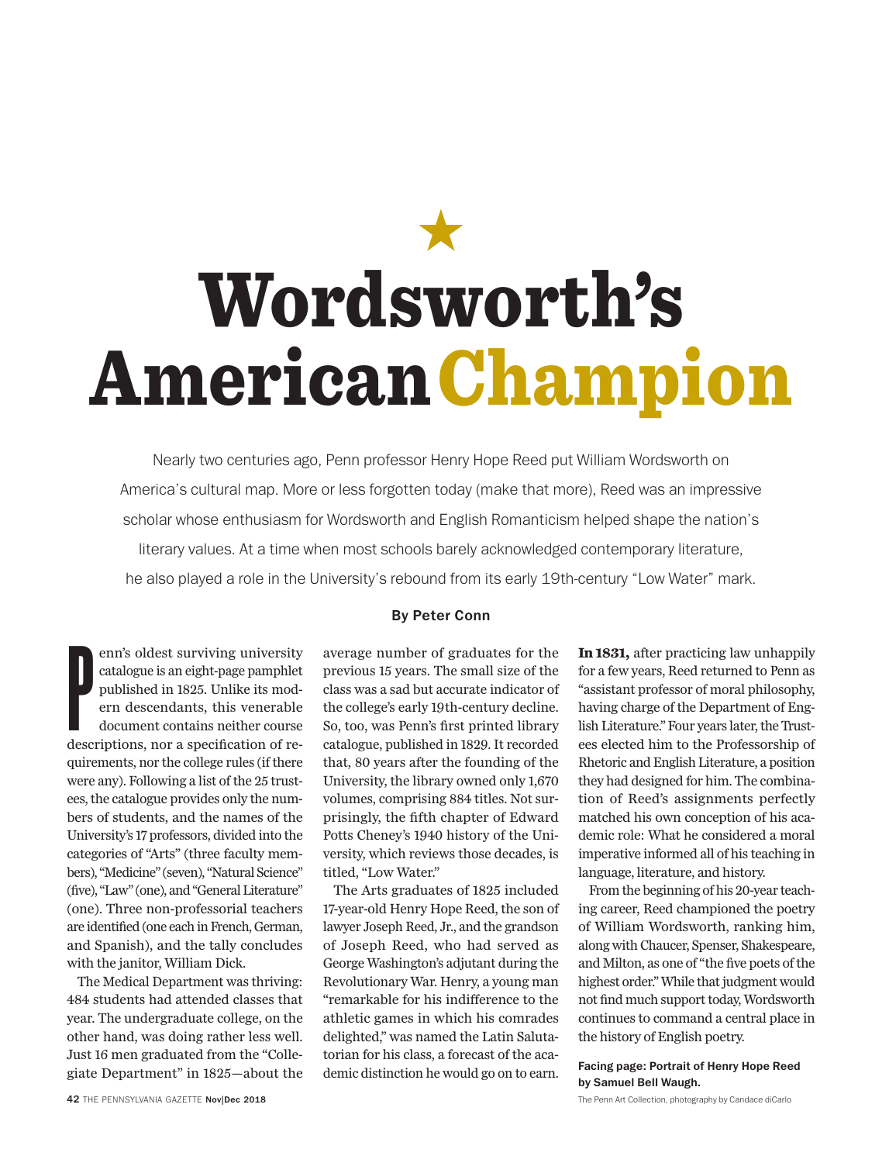## Wordsworth's American Champion

Nearly two centuries ago, Penn professor Henry Hope Reed put William Wordsworth on America's cultural map. More or less forgotten today (make that more), Reed was an impressive scholar whose enthusiasm for Wordsworth and English Romanticism helped shape the nation's literary values. At a time when most schools barely acknowledged contemporary literature, he also played a role in the University's rebound from its early 19th-century "Low Water" mark.

**By Peter Conn**

enn's oldest surviving university<br>catalogue is an eight-page pamphlet<br>published in 1825. Unlike its mod-<br>ern descendants, this venerable<br>document contains neither course<br>descriptions, nor a specification of reenn's oldest surviving university catalogue is an eight-page pamphlet published in 1825. Unlike its modern descendants, this venerable document contains neither course quirements, nor the college rules (if there were any). Following a list of the 25 trustees, the catalogue provides only the numbers of students, and the names of the University's 17 professors, divided into the categories of "Arts" (three faculty members), "Medicine" (seven), "Natural Science" (five), "Law" (one), and "General Literature" (one). Three non-professorial teachers are identified (one each in French, German, and Spanish), and the tally concludes with the janitor, William Dick.

The Medical Department was thriving: 484 students had attended classes that year. The undergraduate college, on the other hand, was doing rather less well. Just 16 men graduated from the "Collegiate Department" in 1825—about the average number of graduates for the previous 15 years. The small size of the class was a sad but accurate indicator of the college's early 19th-century decline. So, too, was Penn's first printed library catalogue, published in 1829. It recorded that, 80 years after the founding of the University, the library owned only 1,670 volumes, comprising 884 titles. Not surprisingly, the fifth chapter of Edward Potts Cheney's 1940 history of the University, which reviews those decades, is titled, "Low Water."

The Arts graduates of 1825 included 17-year-old Henry Hope Reed, the son of lawyer Joseph Reed, Jr., and the grandson of Joseph Reed, who had served as George Washington's adjutant during the Revolutionary War. Henry, a young man "remarkable for his indifference to the athletic games in which his comrades delighted," was named the Latin Salutatorian for his class, a forecast of the academic distinction he would go on to earn.

**In 1831,** after practicing law unhappily for a few years, Reed returned to Penn as "assistant professor of moral philosophy, having charge of the Department of English Literature." Four years later, the Trustees elected him to the Professorship of Rhetoric and English Literature, a position they had designed for him. The combination of Reed's assignments perfectly matched his own conception of his academic role: What he considered a moral imperative informed all of his teaching in language, literature, and history.

From the beginning of his 20-year teaching career, Reed championed the poetry of William Wordsworth, ranking him, along with Chaucer, Spenser, Shakespeare, and Milton, as one of "the five poets of the highest order." While that judgment would not find much support today, Wordsworth continues to command a central place in the history of English poetry.

**Facing page: Portrait of Henry Hope Reed by Samuel Bell Waugh.**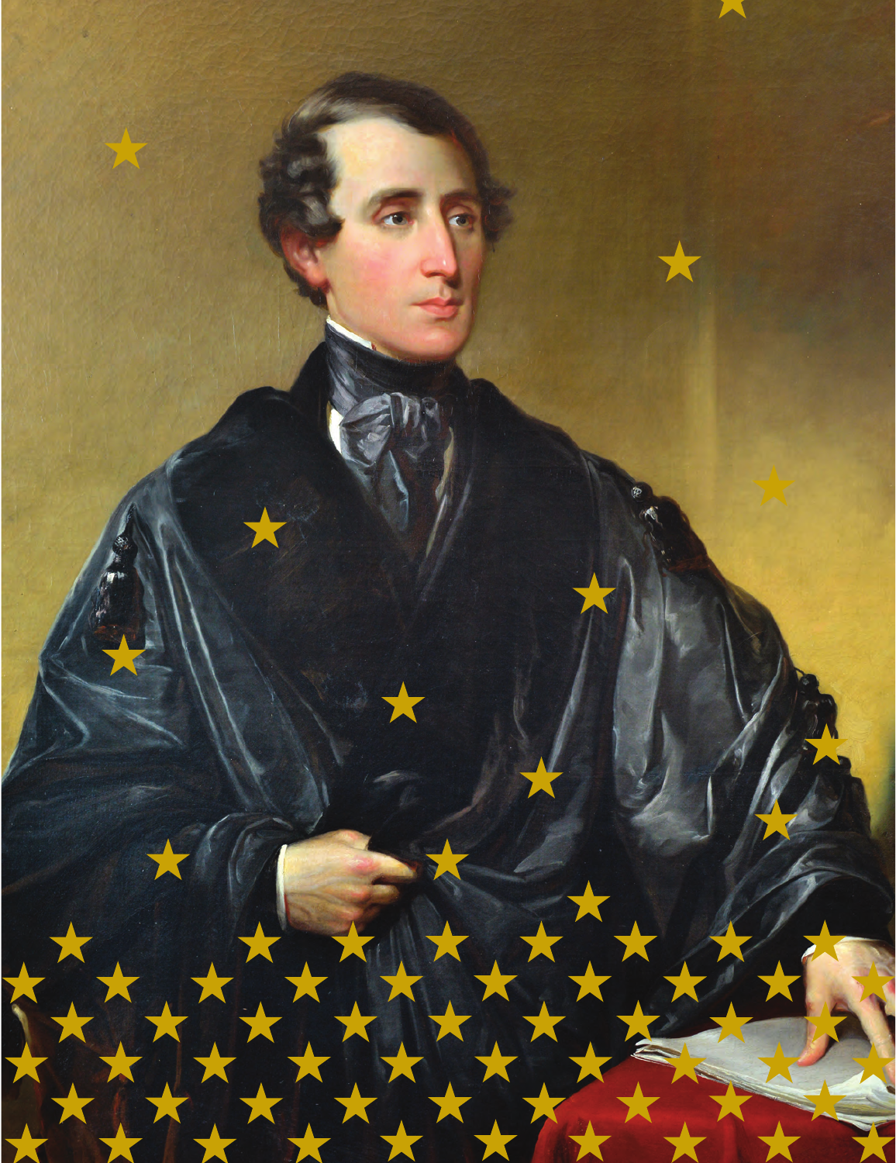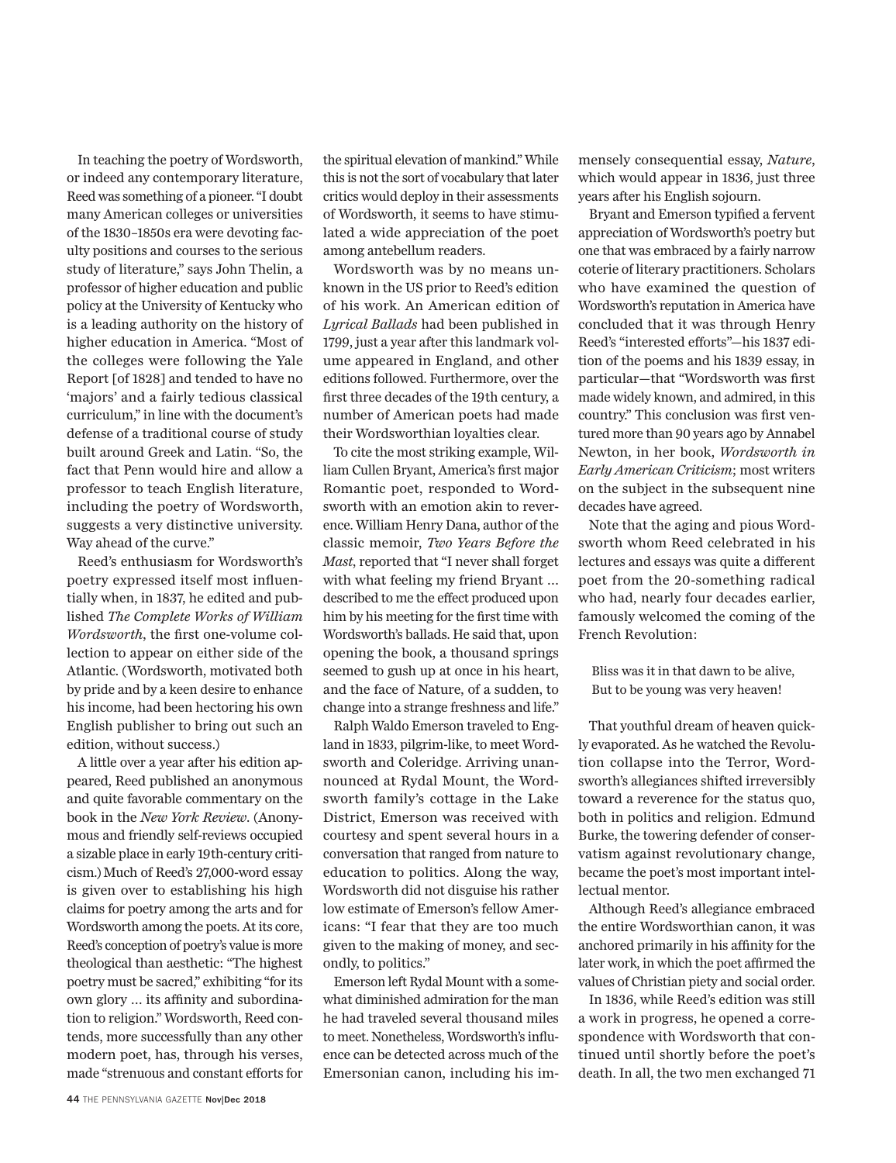In teaching the poetry of Wordsworth, or indeed any contemporary literature, Reed was something of a pioneer. "I doubt many American colleges or universities of the 1830–1850s era were devoting faculty positions and courses to the serious study of literature," says John Thelin, a professor of higher education and public policy at the University of Kentucky who is a leading authority on the history of higher education in America. "Most of the colleges were following the Yale Report [of 1828] and tended to have no 'majors' and a fairly tedious classical curriculum," in line with the document's defense of a traditional course of study built around Greek and Latin. "So, the fact that Penn would hire and allow a professor to teach English literature, including the poetry of Wordsworth, suggests a very distinctive university. Way ahead of the curve."

Reed's enthusiasm for Wordsworth's poetry expressed itself most influentially when, in 1837, he edited and published *The Complete Works of William Wordsworth*, the first one-volume collection to appear on either side of the Atlantic. (Wordsworth, motivated both by pride and by a keen desire to enhance his income, had been hectoring his own English publisher to bring out such an edition, without success.)

A little over a year after his edition appeared, Reed published an anonymous and quite favorable commentary on the book in the *New York Review*. (Anonymous and friendly self-reviews occupied a sizable place in early 19th-century criticism.) Much of Reed's 27,000-word essay is given over to establishing his high claims for poetry among the arts and for Wordsworth among the poets. At its core, Reed's conception of poetry's value is more theological than aesthetic: "The highest poetry must be sacred," exhibiting "for its own glory ... its affinity and subordination to religion." Wordsworth, Reed contends, more successfully than any other modern poet, has, through his verses, made "strenuous and constant efforts for the spiritual elevation of mankind." While this is not the sort of vocabulary that later critics would deploy in their assessments of Wordsworth, it seems to have stimulated a wide appreciation of the poet among antebellum readers.

Wordsworth was by no means unknown in the US prior to Reed's edition of his work. An American edition of *Lyrical Ballads* had been published in 1799, just a year after this landmark volume appeared in England, and other editions followed. Furthermore, over the first three decades of the 19th century, a number of American poets had made their Wordsworthian loyalties clear.

To cite the most striking example, William Cullen Bryant, America's first major Romantic poet, responded to Wordsworth with an emotion akin to reverence. William Henry Dana, author of the classic memoir, *Two Years Before the Mast*, reported that "I never shall forget with what feeling my friend Bryant … described to me the effect produced upon him by his meeting for the first time with Wordsworth's ballads. He said that, upon opening the book, a thousand springs seemed to gush up at once in his heart, and the face of Nature, of a sudden, to change into a strange freshness and life."

Ralph Waldo Emerson traveled to England in 1833, pilgrim-like, to meet Wordsworth and Coleridge. Arriving unannounced at Rydal Mount, the Wordsworth family's cottage in the Lake District, Emerson was received with courtesy and spent several hours in a conversation that ranged from nature to education to politics. Along the way, Wordsworth did not disguise his rather low estimate of Emerson's fellow Americans: "I fear that they are too much given to the making of money, and secondly, to politics."

Emerson left Rydal Mount with a somewhat diminished admiration for the man he had traveled several thousand miles to meet. Nonetheless, Wordsworth's influence can be detected across much of the Emersonian canon, including his immensely consequential essay, *Nature*, which would appear in 1836, just three years after his English sojourn.

Bryant and Emerson typified a fervent appreciation of Wordsworth's poetry but one that was embraced by a fairly narrow coterie of literary practitioners. Scholars who have examined the question of Wordsworth's reputation in America have concluded that it was through Henry Reed's "interested efforts"-his 1837 edition of the poems and his 1839 essay, in particular-that "Wordsworth was first made widely known, and admired, in this country." This conclusion was first ventured more than 90 years ago by Annabel Newton, in her book, *Wordsworth in Early American Criticism*; most writers on the subject in the subsequent nine decades have agreed.

Note that the aging and pious Wordsworth whom Reed celebrated in his lectures and essays was quite a different poet from the 20-something radical who had, nearly four decades earlier, famously welcomed the coming of the French Revolution:

Bliss was it in that dawn to be alive, But to be young was very heaven!

That youthful dream of heaven quickly evaporated. As he watched the Revolution collapse into the Terror, Wordsworth's allegiances shifted irreversibly toward a reverence for the status quo, both in politics and religion. Edmund Burke, the towering defender of conservatism against revolutionary change, became the poet's most important intellectual mentor.

Although Reed's allegiance embraced the entire Wordsworthian canon, it was anchored primarily in his affinity for the later work, in which the poet affirmed the values of Christian piety and social order.

In 1836, while Reed's edition was still a work in progress, he opened a correspondence with Wordsworth that continued until shortly before the poet's death. In all, the two men exchanged 71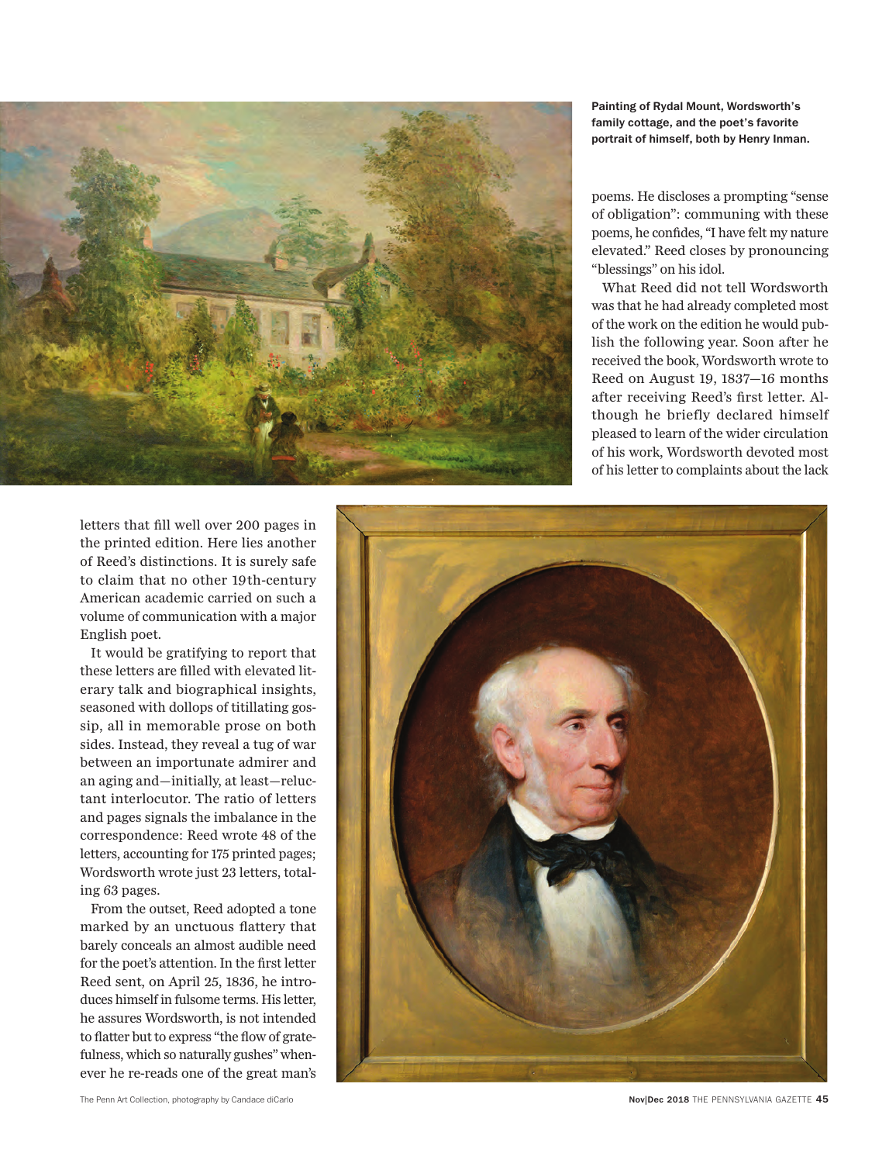

**Painting of Rydal Mount, Wordsworth's family cottage, and the poet's favorite portrait of himself, both by Henry Inman.**

poems. He discloses a prompting "sense of obligation": communing with these poems, he confides, "I have felt my nature elevated." Reed closes by pronouncing "blessings" on his idol.

What Reed did not tell Wordsworth was that he had already completed most of the work on the edition he would publish the following year. Soon after he received the book, Wordsworth wrote to Reed on August 19, 1837—16 months after receiving Reed's first letter. Although he briefly declared himself pleased to learn of the wider circulation of his work, Wordsworth devoted most of his letter to complaints about the lack

letters that fill well over 200 pages in the printed edition. Here lies another of Reed's distinctions. It is surely safe to claim that no other 19th-century American academic carried on such a volume of communication with a major English poet.

It would be gratifying to report that these letters are filled with elevated literary talk and biographical insights, seasoned with dollops of titillating gossip, all in memorable prose on both sides. Instead, they reveal a tug of war between an importunate admirer and an aging and—initially, at least—reluctant interlocutor. The ratio of letters and pages signals the imbalance in the correspondence: Reed wrote 48 of the letters, accounting for 175 printed pages; Wordsworth wrote just 23 letters, totaling 63 pages.

From the outset, Reed adopted a tone marked by an unctuous flattery that barely conceals an almost audible need for the poet's attention. In the first letter Reed sent, on April 25, 1836, he introduces himself in fulsome terms. His letter, he assures Wordsworth, is not intended to flatter but to express "the flow of gratefulness, which so naturally gushes" whenever he re-reads one of the great man's

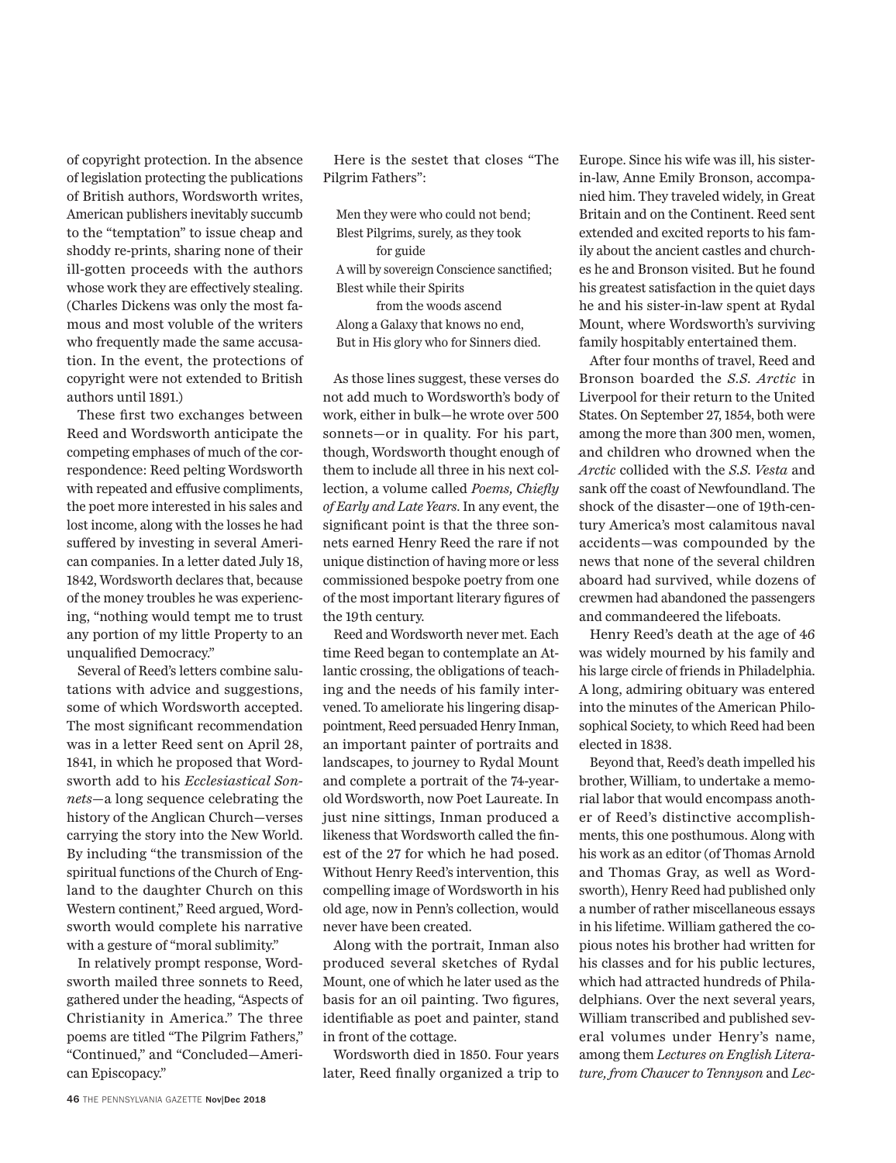of copyright protection. In the absence of legislation protecting the publications of British authors, Wordsworth writes, American publishers inevitably succumb to the "temptation" to issue cheap and shoddy re-prints, sharing none of their ill-gotten proceeds with the authors whose work they are effectively stealing. (Charles Dickens was only the most famous and most voluble of the writers who frequently made the same accusation. In the event, the protections of copyright were not extended to British authors until 1891.)

These first two exchanges between Reed and Wordsworth anticipate the competing emphases of much of the correspondence: Reed pelting Wordsworth with repeated and effusive compliments, the poet more interested in his sales and lost income, along with the losses he had suffered by investing in several American companies. In a letter dated July 18, 1842, Wordsworth declares that, because of the money troubles he was experiencing, "nothing would tempt me to trust any portion of my little Property to an unqualified Democracy."

Several of Reed's letters combine salutations with advice and suggestions, some of which Wordsworth accepted. The most significant recommendation was in a letter Reed sent on April 28, 1841, in which he proposed that Wordsworth add to his *Ecclesiastical Sonnets*—a long sequence celebrating the history of the Anglican Church—verses carrying the story into the New World. By including "the transmission of the spiritual functions of the Church of England to the daughter Church on this Western continent," Reed argued, Wordsworth would complete his narrative with a gesture of "moral sublimity."

In relatively prompt response, Wordsworth mailed three sonnets to Reed, gathered under the heading, "Aspects of Christianity in America." The three poems are titled "The Pilgrim Fathers," "Continued," and "Concluded—American Episcopacy."

Here is the sestet that closes "The Pilgrim Fathers":

Men they were who could not bend; Blest Pilgrims, surely, as they took for guide A will by sovereign Conscience sanctified; Blest while their Spirits from the woods ascend Along a Galaxy that knows no end, But in His glory who for Sinners died.

As those lines suggest, these verses do not add much to Wordsworth's body of work, either in bulk—he wrote over 500 sonnets—or in quality. For his part, though, Wordsworth thought enough of them to include all three in his next collection, a volume called *Poems, Chiefly of Early and Late Years*. In any event, the significant point is that the three sonnets earned Henry Reed the rare if not unique distinction of having more or less commissioned bespoke poetry from one of the most important literary figures of the 19th century.

Reed and Wordsworth never met. Each time Reed began to contemplate an Atlantic crossing, the obligations of teaching and the needs of his family intervened. To ameliorate his lingering disappointment, Reed persuaded Henry Inman, an important painter of portraits and landscapes, to journey to Rydal Mount and complete a portrait of the 74-yearold Wordsworth, now Poet Laureate. In just nine sittings, Inman produced a likeness that Wordsworth called the finest of the 27 for which he had posed. Without Henry Reed's intervention, this compelling image of Wordsworth in his old age, now in Penn's collection, would never have been created.

Along with the portrait, Inman also produced several sketches of Rydal Mount, one of which he later used as the basis for an oil painting. Two figures, identifiable as poet and painter, stand in front of the cottage.

Wordsworth died in 1850. Four years later, Reed finally organized a trip to Europe. Since his wife was ill, his sisterin-law, Anne Emily Bronson, accompanied him. They traveled widely, in Great Britain and on the Continent. Reed sent extended and excited reports to his family about the ancient castles and churches he and Bronson visited. But he found his greatest satisfaction in the quiet days he and his sister-in-law spent at Rydal Mount, where Wordsworth's surviving family hospitably entertained them.

After four months of travel, Reed and Bronson boarded the *S.S. Arctic* in Liverpool for their return to the United States. On September 27, 1854, both were among the more than 300 men, women, and children who drowned when the *Arctic* collided with the *S.S. Vesta* and sank off the coast of Newfoundland. The shock of the disaster—one of 19th-century America's most calamitous naval accidents—was compounded by the news that none of the several children aboard had survived, while dozens of crewmen had abandoned the passengers and commandeered the lifeboats.

Henry Reed's death at the age of 46 was widely mourned by his family and his large circle of friends in Philadelphia. A long, admiring obituary was entered into the minutes of the American Philosophical Society, to which Reed had been elected in 1838.

Beyond that, Reed's death impelled his brother, William, to undertake a memorial labor that would encompass another of Reed's distinctive accomplishments, this one posthumous. Along with his work as an editor (of Thomas Arnold and Thomas Gray, as well as Wordsworth), Henry Reed had published only a number of rather miscellaneous essays in his lifetime. William gathered the copious notes his brother had written for his classes and for his public lectures, which had attracted hundreds of Philadelphians. Over the next several years, William transcribed and published several volumes under Henry's name, among them *Lectures on English Literature, from Chaucer to Tennyson* and *Lec-*